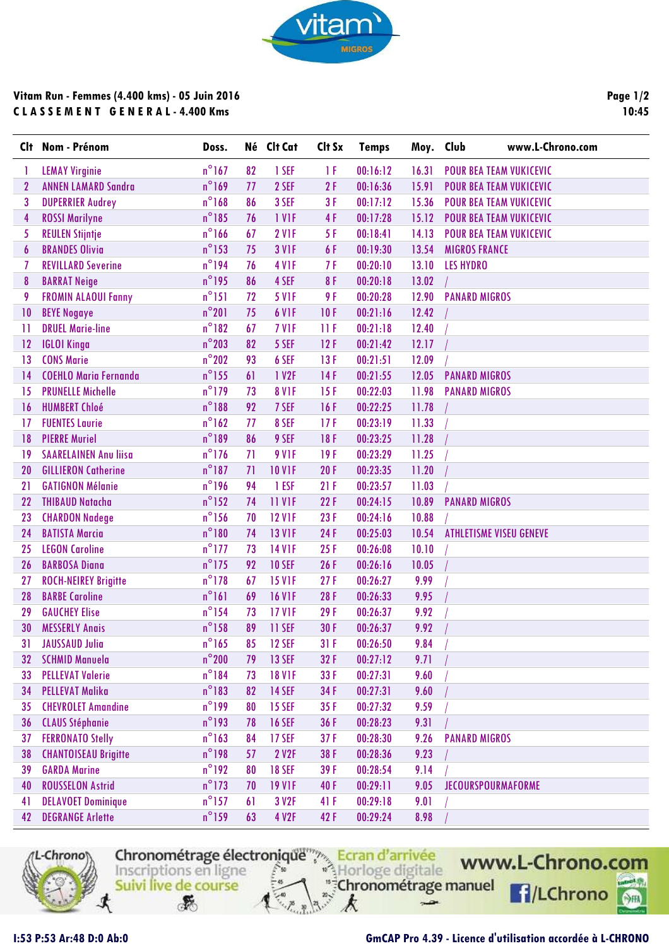

## **Vitam Run - Femmes (4.400 kms) - 05 Juin 2016 C L A S S E M E N T G E N E R A L - 4.400 Kms**

**Page 1/2 10:45**

|              | Clt Nom - Prénom             | Doss.           |    | Né Clt Cat        | Clt Sx | <b>Temps</b> | Moy. Club | www.L-Chrono.com               |
|--------------|------------------------------|-----------------|----|-------------------|--------|--------------|-----------|--------------------------------|
|              | <b>LEMAY Virginie</b>        | $n^{\circ}$ 167 | 82 | 1 SEF             | ΤF     | 00:16:12     | 16.31     | <b>POUR BEA TEAM VUKICEVIC</b> |
| $\mathbf{2}$ | <b>ANNEN LAMARD Sandra</b>   | $n^{\circ}$ 169 | 77 | 2 SEF             | 2F     | 00:16:36     | 15.91     | <b>POUR BEA TEAM VUKICEVIC</b> |
| 3            | <b>DUPERRIER Audrey</b>      | $n^{\circ}$ 168 | 86 | 3 SEF             | 3F     | 00:17:12     | 15.36     | <b>POUR BEA TEAM VUKICEVIC</b> |
| 4            | <b>ROSSI Marilyne</b>        | $n^{\circ}185$  | 76 | 1 VIF             | 4F     | 00:17:28     | 15.12     | <b>POUR BEA TEAM VUKICEVIC</b> |
| 5            | <b>REULEN Stijntje</b>       | $n^{\circ}$ 166 | 67 | 2 V <sub>IF</sub> | 5F     | 00:18:41     | 14.13     | <b>POUR BEA TEAM VUKICEVIC</b> |
| 6            | <b>BRANDES Olivia</b>        | $n^{\circ}$ 153 | 75 | <b>3 V1F</b>      | 6F     | 00:19:30     | 13.54     | <b>MIGROS FRANCE</b>           |
| 7            | <b>REVILLARD Severine</b>    | $n^{\circ}$ 194 | 76 | 4 V <sub>IF</sub> | 7 F    | 00:20:10     | 13.10     | <b>LES HYDRO</b>               |
| 8            | <b>BARRAT Neige</b>          | $n^{\circ}$ 195 | 86 | 4 SEF             | 8F     | 00:20:18     | 13.02     |                                |
| 9            | <b>FROMIN ALAOUI Fanny</b>   | $n^{\circ}$ 151 | 72 | <b>5 V1F</b>      | 9 F    | 00:20:28     | 12.90     | <b>PANARD MIGROS</b>           |
| 10           | <b>BEYE Nogaye</b>           | $n^{\circ}201$  | 75 | 6 VIF             | 10F    | 00:21:16     | 12.42     |                                |
| $\mathbf{1}$ | <b>DRUEL Marie-line</b>      | $n^{\circ}182$  | 67 | 7 VIF             | 11F    | 00:21:18     | 12.40     |                                |
| 12           | <b>IGLOI Kinga</b>           | $n^{\circ}$ 203 | 82 | 5 SEF             | 12F    | 00:21:42     | 12.17     |                                |
| 13           | <b>CONS Marie</b>            | $n^{\circ}$ 202 | 93 | 6 SEF             | 13F    | 00:21:51     | 12.09     |                                |
| 14           | <b>COEHLO Maria Fernanda</b> | $n^{\circ}$ 155 | 61 | 1 V2F             | 14F    | 00:21:55     | 12.05     | <b>PANARD MIGROS</b>           |
| 15           | <b>PRUNELLE Michelle</b>     | $n^{\circ}$ 179 | 73 | <b>8 V1F</b>      | 15F    | 00:22:03     | 11.98     | <b>PANARD MIGROS</b>           |
| 16           | <b>HUMBERT Chloé</b>         | $n^{\circ}188$  | 92 | 7 SEF             | 16F    | 00:22:25     | 11.78     |                                |
| 17           | <b>FUENTES Laurie</b>        | $n^{\circ}$ 162 | 77 | 8 SEF             | 17F    | 00:23:19     | 11.33     |                                |
| 18           | <b>PIERRE Muriel</b>         | $n^{\circ}189$  | 86 | 9 SEF             | 18F    | 00:23:25     | 11.28     |                                |
| 19           | <b>SAARELAINEN Anu liisa</b> | $n^{\circ}$ 176 | 71 | <b>9 V1F</b>      | 19F    | 00:23:29     | 11.25     |                                |
| 20           | <b>GILLIERON Catherine</b>   | $n^{\circ}$ 187 | 71 | <b>10 V1F</b>     | 20F    | 00:23:35     | 11.20     |                                |
| 21           | <b>GATIGNON Mélanie</b>      | $n^{\circ}$ 196 | 94 | 1 ESF             | 21F    | 00:23:57     | 11.03     |                                |
| 22           | <b>THIBAUD Natacha</b>       | $n^{\circ}$ 152 | 74 | 11 VIF            | 22F    | 00:24:15     | 10.89     | <b>PANARD MIGROS</b>           |
| 23           | <b>CHARDON Nadege</b>        | $n^{\circ}$ 156 | 70 | <b>12 V1F</b>     | 23F    | 00:24:16     | 10.88     |                                |
| 24           | <b>BATISTA Marcia</b>        | $n^{\circ}180$  | 74 | <b>13 V1F</b>     | 24F    | 00:25:03     | 10.54     | <b>ATHLETISME VISEU GENEVE</b> |
| 25           | <b>LEGON Caroline</b>        | $n^{\circ}$ 177 | 73 | <b>14 V1F</b>     | 25F    | 00:26:08     | 10.10     |                                |
| 26           | <b>BARBOSA Diana</b>         | $n^{\circ}$ 175 | 92 | <b>10 SEF</b>     | 26F    | 00:26:16     | 10.05     |                                |
| 27           | <b>ROCH-NEIREY Brigitte</b>  | $n^{\circ}$ 178 | 67 | <b>15 V1F</b>     | 27F    | 00:26:27     | 9.99      |                                |
| 28           | <b>BARBE Caroline</b>        | $n^{\circ}161$  | 69 | <b>16 V1F</b>     | 28F    | 00:26:33     | 9.95      |                                |
| 29           | <b>GAUCHEY Elise</b>         | $n^{\circ}$ 154 | 73 | <b>17 V1F</b>     | 29F    | 00:26:37     | 9.92      |                                |
| 30           | <b>MESSERLY Anais</b>        | $n^{\circ}$ 158 | 89 | 11 SEF            | 30F    | 00:26:37     | 9.92      |                                |
| 31           | <b>JAUSSAUD Julia</b>        | $n^{\circ}$ 165 | 85 | 12 SEF            | 31F    | 00:26:50     | 9.84      |                                |
| 32           | <b>SCHMID Manuela</b>        | $n^{\circ}$ 200 | 79 | <b>13 SEF</b>     | 32F    | 00:27:12     | 9.71      |                                |
| 33           | <b>PELLEVAT Valerie</b>      | $n^{\circ}184$  | 73 | <b>18 V1F</b>     | 33F    | 00:27:31     | 9.60      |                                |
| 34           | <b>PELLEVAT Malika</b>       | $n^{\circ}$ 183 | 82 | <b>14 SEF</b>     | 34 F   | 00:27:31     | 9.60      |                                |
| 35           | <b>CHEVROLET Amandine</b>    | $n^{\circ}$ 199 | 80 | <b>15 SEF</b>     | 35F    | 00:27:32     | 9.59      |                                |
| 36           | <b>CLAUS Stéphanie</b>       | $n^{\circ}$ 193 | 78 | <b>16 SEF</b>     | 36 F   | 00:28:23     | 9.31      |                                |
| 37           | <b>FERRONATO Stelly</b>      | $n^{\circ}163$  | 84 | <b>17 SEF</b>     | 37F    | 00:28:30     | 9.26      | <b>PANARD MIGROS</b>           |
| 38           | <b>CHANTOISEAU Brigitte</b>  | $n^{\circ}$ 198 | 57 | 2 V2F             | 38 F   | 00:28:36     | 9.23      |                                |
| 39           | <b>GARDA Marine</b>          | $n^{\circ}$ 192 | 80 | <b>18 SEF</b>     | 39F    | 00:28:54     | 9.14      |                                |
| 40           | <b>ROUSSELON Astrid</b>      | $n^{\circ}$ 173 | 70 | <b>19 V1F</b>     | 40F    | 00:29:11     | 9.05      | <b>JECOURSPOURMAFORME</b>      |
| 41           | <b>DELAVOET Dominique</b>    | $n^{\circ}$ 157 | 61 | 3 V2F             | 41 F   | 00:29:18     | 9.01      |                                |
| 42           | <b>DEGRANGE Arlette</b>      | $n^{\circ}$ 159 | 63 | 4 V2F             | 42F    | 00:29:24     | 8.98      |                                |



Suivi live de course

 $\mathcal{F}$ 

Chronométrage électronique<sup>mpa</sup> Ecran d'arrivée<br>Inscriptions en ligne

k

 $\rightarrow$ 

www.L-Chrono.com "<sup>#</sup>Chronométrage manuel **f**/LChrono

 $rac{1}{\sqrt{2}}$